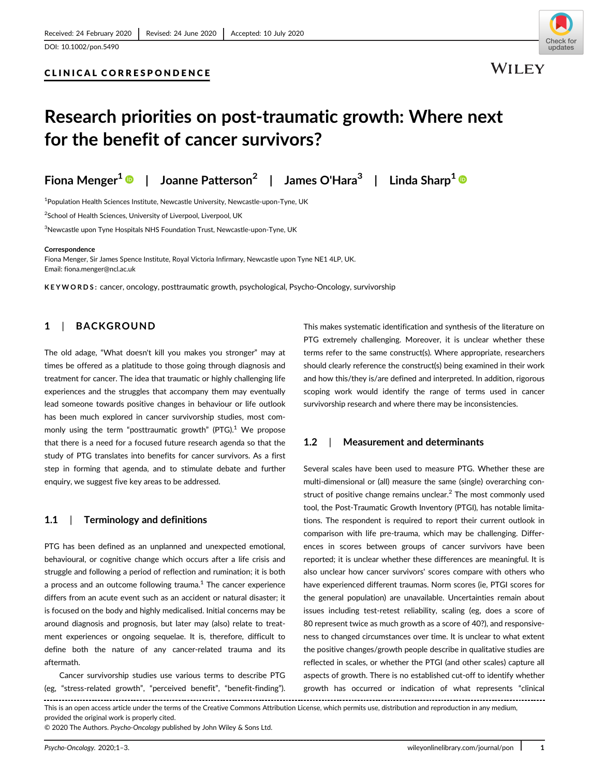

**WILEY** 

# Research priorities on post-traumatic growth: Where next for the benefit of cancer survivors?

Fiona Menger<sup>1</sup>  $\bullet$  | Joanne Patterson<sup>2</sup> | James O'Hara<sup>3</sup> | Linda Sharp<sup>1</sup>  $\bullet$ 

<sup>1</sup>Population Health Sciences Institute, Newcastle University, Newcastle-upon-Tyne, UK

2 School of Health Sciences, University of Liverpool, Liverpool, UK

CLINICAL CORRESPONDENCE

 $^3$ Newcastle upon Tyne Hospitals NHS Foundation Trust, Newcastle-upon-Tyne, UK

#### **Correspondence**

Fiona Menger, Sir James Spence Institute, Royal Victoria Infirmary, Newcastle upon Tyne NE1 4LP, UK. Email: [fiona.menger@ncl.ac.uk](mailto:fiona.menger@ncl.ac.uk)

KEYWORDS: cancer, oncology, posttraumatic growth, psychological, Psycho-Oncology, survivorship

# 1 | BACKGROUND

The old adage, "What doesn't kill you makes you stronger" may at times be offered as a platitude to those going through diagnosis and treatment for cancer. The idea that traumatic or highly challenging life experiences and the struggles that accompany them may eventually lead someone towards positive changes in behaviour or life outlook has been much explored in cancer survivorship studies, most commonly using the term "posttraumatic growth" (PTG).<sup>1</sup> We propose that there is a need for a focused future research agenda so that the study of PTG translates into benefits for cancer survivors. As a first step in forming that agenda, and to stimulate debate and further enquiry, we suggest five key areas to be addressed.

# 1.1 | Terminology and definitions

PTG has been defined as an unplanned and unexpected emotional, behavioural, or cognitive change which occurs after a life crisis and struggle and following a period of reflection and rumination; it is both a process and an outcome following trauma. $<sup>1</sup>$  The cancer experience</sup> differs from an acute event such as an accident or natural disaster; it is focused on the body and highly medicalised. Initial concerns may be around diagnosis and prognosis, but later may (also) relate to treatment experiences or ongoing sequelae. It is, therefore, difficult to define both the nature of any cancer-related trauma and its aftermath.

Cancer survivorship studies use various terms to describe PTG (eg, "stress-related growth", "perceived benefit", "benefit-finding"). This makes systematic identification and synthesis of the literature on PTG extremely challenging. Moreover, it is unclear whether these terms refer to the same construct(s). Where appropriate, researchers should clearly reference the construct(s) being examined in their work and how this/they is/are defined and interpreted. In addition, rigorous scoping work would identify the range of terms used in cancer survivorship research and where there may be inconsistencies.

# 1.2 | Measurement and determinants

Several scales have been used to measure PTG. Whether these are multi-dimensional or (all) measure the same (single) overarching construct of positive change remains unclear. $<sup>2</sup>$  The most commonly used</sup> tool, the Post-Traumatic Growth Inventory (PTGI), has notable limitations. The respondent is required to report their current outlook in comparison with life pre-trauma, which may be challenging. Differences in scores between groups of cancer survivors have been reported; it is unclear whether these differences are meaningful. It is also unclear how cancer survivors' scores compare with others who have experienced different traumas. Norm scores (ie, PTGI scores for the general population) are unavailable. Uncertainties remain about issues including test-retest reliability, scaling (eg, does a score of 80 represent twice as much growth as a score of 40?), and responsiveness to changed circumstances over time. It is unclear to what extent the positive changes/growth people describe in qualitative studies are reflected in scales, or whether the PTGI (and other scales) capture all aspects of growth. There is no established cut-off to identify whether growth has occurred or indication of what represents "clinical

This is an open access article under the terms of the [Creative Commons Attribution](http://creativecommons.org/licenses/by/4.0/) License, which permits use, distribution and reproduction in any medium, provided the original work is properly cited.

© 2020 The Authors. Psycho-Oncology published by John Wiley & Sons Ltd.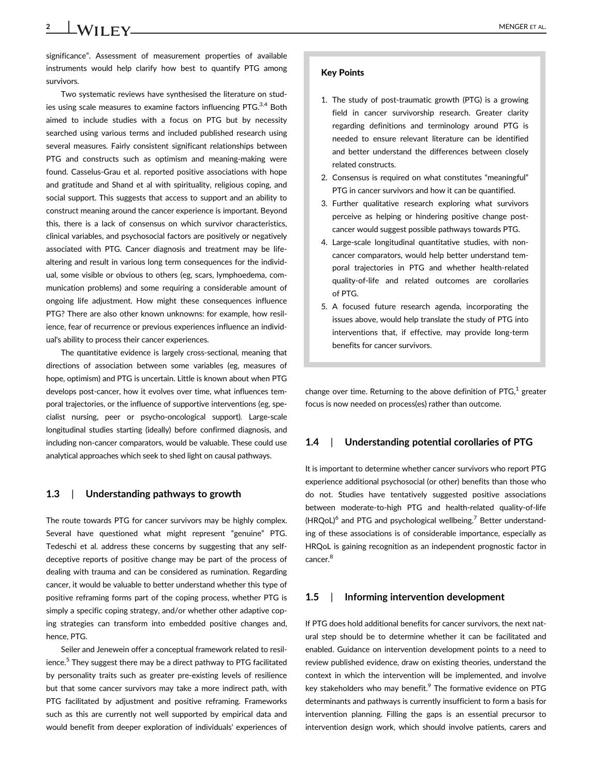**2** MENGER ET AL.

significance". Assessment of measurement properties of available instruments would help clarify how best to quantify PTG among survivors.

Two systematic reviews have synthesised the literature on studies using scale measures to examine factors influencing PTG.<sup>3,4</sup> Both aimed to include studies with a focus on PTG but by necessity searched using various terms and included published research using several measures. Fairly consistent significant relationships between PTG and constructs such as optimism and meaning-making were found. Casselus-Grau et al. reported positive associations with hope and gratitude and Shand et al with spirituality, religious coping, and social support. This suggests that access to support and an ability to construct meaning around the cancer experience is important. Beyond this, there is a lack of consensus on which survivor characteristics, clinical variables, and psychosocial factors are positively or negatively associated with PTG. Cancer diagnosis and treatment may be lifealtering and result in various long term consequences for the individual, some visible or obvious to others (eg, scars, lymphoedema, communication problems) and some requiring a considerable amount of ongoing life adjustment. How might these consequences influence PTG? There are also other known unknowns: for example, how resilience, fear of recurrence or previous experiences influence an individual's ability to process their cancer experiences.

The quantitative evidence is largely cross-sectional, meaning that directions of association between some variables (eg, measures of hope, optimism) and PTG is uncertain. Little is known about when PTG develops post-cancer, how it evolves over time, what influences temporal trajectories, or the influence of supportive interventions (eg, specialist nursing, peer or psycho-oncological support). Large-scale longitudinal studies starting (ideally) before confirmed diagnosis, and including non-cancer comparators, would be valuable. These could use analytical approaches which seek to shed light on causal pathways.

#### 1.3 | Understanding pathways to growth

The route towards PTG for cancer survivors may be highly complex. Several have questioned what might represent "genuine" PTG. Tedeschi et al. address these concerns by suggesting that any selfdeceptive reports of positive change may be part of the process of dealing with trauma and can be considered as rumination. Regarding cancer, it would be valuable to better understand whether this type of positive reframing forms part of the coping process, whether PTG is simply a specific coping strategy, and/or whether other adaptive coping strategies can transform into embedded positive changes and, hence, PTG.

Seiler and Jenewein offer a conceptual framework related to resilience.<sup>5</sup> They suggest there may be a direct pathway to PTG facilitated by personality traits such as greater pre-existing levels of resilience but that some cancer survivors may take a more indirect path, with PTG facilitated by adjustment and positive reframing. Frameworks such as this are currently not well supported by empirical data and would benefit from deeper exploration of individuals' experiences of

#### Key Points

- 1. The study of post-traumatic growth (PTG) is a growing field in cancer survivorship research. Greater clarity regarding definitions and terminology around PTG is needed to ensure relevant literature can be identified and better understand the differences between closely related constructs.
- 2. Consensus is required on what constitutes "meaningful" PTG in cancer survivors and how it can be quantified.
- 3. Further qualitative research exploring what survivors perceive as helping or hindering positive change postcancer would suggest possible pathways towards PTG.
- 4. Large-scale longitudinal quantitative studies, with noncancer comparators, would help better understand temporal trajectories in PTG and whether health-related quality-of-life and related outcomes are corollaries of PTG.
- 5. A focused future research agenda, incorporating the issues above, would help translate the study of PTG into interventions that, if effective, may provide long-term benefits for cancer survivors.

change over time. Returning to the above definition of  $PTG<sub>1</sub><sup>1</sup>$  greater focus is now needed on process(es) rather than outcome.

# 1.4 | Understanding potential corollaries of PTG

It is important to determine whether cancer survivors who report PTG experience additional psychosocial (or other) benefits than those who do not. Studies have tentatively suggested positive associations between moderate-to-high PTG and health-related quality-of-life  $(HRQoL)^6$  and PTG and psychological wellbeing.<sup>7</sup> Better understanding of these associations is of considerable importance, especially as HRQoL is gaining recognition as an independent prognostic factor in cancer.<sup>8</sup>

### 1.5 | Informing intervention development

If PTG does hold additional benefits for cancer survivors, the next natural step should be to determine whether it can be facilitated and enabled. Guidance on intervention development points to a need to review published evidence, draw on existing theories, understand the context in which the intervention will be implemented, and involve key stakeholders who may benefit.<sup>9</sup> The formative evidence on PTG determinants and pathways is currently insufficient to form a basis for intervention planning. Filling the gaps is an essential precursor to intervention design work, which should involve patients, carers and